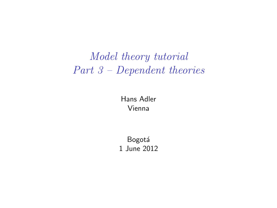# *Model theory tutorial Part 3 – Dependent theories*

Hans Adler Vienna

**Bogotá** 1 June 2012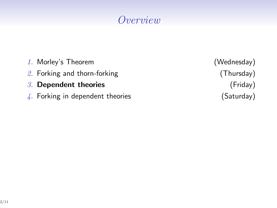## *Overview*

- *1.* Morley's Theorem (Wednesday) *2.* Forking and thorn-forking (Thursday)
- *3.* **Dependent theories** (Friday)
- 4. Forking in dependent theories (Saturday)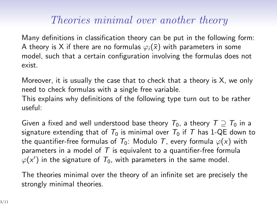### *Theories minimal over another theory*

Many definitions in classification theory can be put in the following form: A theory is X if there are no formulas  $\varphi_i(\bar{x})$  with parameters in some model, such that a certain configuration involving the formulas does not exist.

Moreover, it is usually the case that to check that a theory is X, we only need to check formulas with a single free variable. This explains why definitions of the following type turn out to be rather useful:

Given a fixed and well understood base theory  $T_0$ , a theory  $T \supseteq T_0$  in a signature extending that of  $T_0$  is minimal over  $T_0$  if T has 1-QE down to the quantifier-free formulas of  $T_0$ : Modulo *T*, every formula  $\varphi(x)$  with parameters in a model of *T* is equivalent to a quantifier-free formula  $\varphi(\mathsf{x}')$  in the signature of  $\mathcal{T}_0$ , with parameters in the same model.

The theories minimal over the theory of an infinite set are precisely the strongly minimal theories.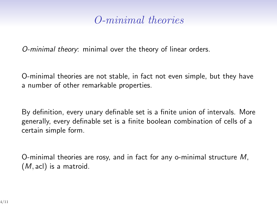### *O-minimal theories*

*O-minimal theory*: minimal over the theory of linear orders.

O-minimal theories are not stable, in fact not even simple, but they have a number of other remarkable properties.

By definition, every unary definable set is a finite union of intervals. More generally, every definable set is a finite boolean combination of cells of a certain simple form.

O-minimal theories are rosy, and in fact for any o-minimal structure *M*, (*M,* acl) is a matroid.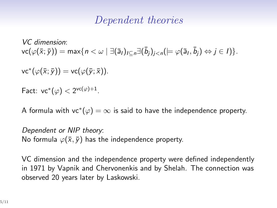#### *Dependent theories*

*VC dimension*:  $\mathsf{vc}(\varphi(\bar{\mathsf{x}};\bar{\mathsf{y}})) = \max\{n < \omega \mid \exists (\bar{\mathsf{a}}_l)_{l \subseteq n} \exists (\bar{b}_j)_{j < n} ( \models \varphi(\bar{\mathsf{a}}_l,\bar{b}_j) \Leftrightarrow j \in I ) \}.$ 

 $\mathsf{vc}^*(\varphi(\bar{x};\bar{y})) = \mathsf{vc}(\varphi(\bar{y};\bar{x})).$ 

Fact:  $vc^*(\varphi) < 2^{vc(\varphi)+1}$ .

A formula with vc*<sup>∗</sup>* (*ϕ*) = *∞* is said to have the independence property.

*Dependent or NIP theory*: No formula  $\varphi(\bar{x}, \bar{y})$  has the independence property.

VC dimension and the independence property were defined independently in 1971 by Vapnik and Chervonenkis and by Shelah. The connection was observed 20 years later by Laskowski.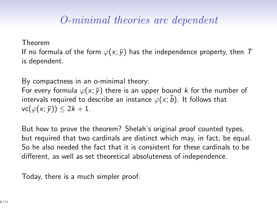## *O-minimal theories are dependent*

Theorem

If no formula of the form  $\varphi(x; \bar{y})$  has the independence property, then *T* is dependent.

By compactness in an o-minimal theory: For every formula  $\varphi(x; \bar{y})$  there is an upper bound *k* for the number of intervals required to describe an instance  $\varphi(x; \bar{b})$ . It follows that  $\mathsf{vc}(\varphi(x;\overline{y})) \leq 2k+1.$ 

But how to prove the theorem? Shelah's original proof counted types, but required that two cardinals are distinct which may, in fact, be equal. So he also needed the fact that it is consistent for these cardinals to be different, as well as set theoretical absoluteness of independence.

Today, there is a much simpler proof.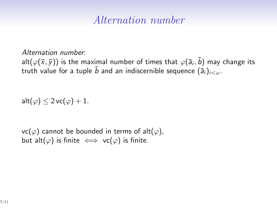#### *Alternation number*

*Alternation number*:

 $\mathsf{alt}(\varphi(\bar{\mathsf{x}},\bar{\mathsf{y}}))$  is the maximal number of times that  $\varphi(\bar{\mathsf{a}}_i,\bar{\mathsf{b}})$  may change its truth value for a tuple  $\bar{b}$  and an indiscernible sequence  $(\bar{a}_i)_{i<\omega}$ .

 $\mathsf{alt}(\varphi) \leq 2 \mathsf{vc}(\varphi) + 1.$ 

vc( $\varphi$ ) cannot be bounded in terms of alt( $\varphi$ ), but alt( $\varphi$ ) is finite  $\iff$  vc( $\varphi$ ) is finite.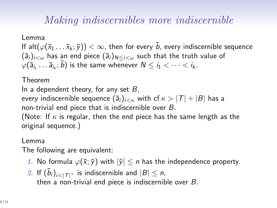## *Making indiscernibles more indiscernible*

Lemma If alt $(\varphi(\bar{x}_1 \dots \bar{x}_k; \bar{y})) < \infty$ , then for every  $\bar{b}$ , every indiscernible sequence  $(\bar{a}_i)_{i\leq w}$  has an end piece  $(\bar{a}_i)_{N\leq i\leq w}$  such that the truth value of  $\varphi(\bar{\mathsf{a}}_{i_1} \dots \bar{\mathsf{a}}_{i_k}; \bar{b})$  is the same whenever  $N \leq i_1 < \dots < i_k$ .

#### Theorem

In a dependent theory, for any set *B*, every indiscernible sequence  $(\overline{a}_i)_{i < \kappa}$  with cf  $\kappa > |T| + |B|$  has a non-trivial end piece that is indiscernible over *B*. (Note: If *κ* is regular, then the end piece has the same length as the original sequence.)

#### Lemma

The following are equivalent:

- *1.* No formula  $\varphi(\bar{x}; \bar{y})$  with  $|\bar{y}| \leq n$  has the independence property.
- 2. If  $(\bar{b}_i)_{i \leq |\mathcal{T}|^+}$  is indiscernible and  $|B| \leq n$ , then a non-trivial end piece is indiscernible over *B*.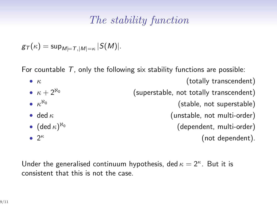## *The stability function*

$$
g_{\mathcal{T}}(\kappa)=\sup_{M\models \mathcal{T}, |M|= \kappa} |S(M)|.
$$

For countable *T*, only the following six stability functions are possible:

| $\bullet$ K                                        | (totally transcendent)                  |
|----------------------------------------------------|-----------------------------------------|
| • $\kappa + 2^{\aleph_0}$                          | (superstable, not totally transcendent) |
| $\bullet$ $\kappa^{N_0}$                           | (stable, not superstable)               |
| $\bullet$ ded $\kappa$                             | (unstable, not multi-order)             |
| • (ded $\kappa$ ) <sup><math>\aleph_0</math></sup> | (dependent, multi-order)                |
| $\bullet$ 2 <sup><math>\kappa</math></sup>         | (not dependent).                        |
|                                                    |                                         |

Under the generalised continuum hypothesis, ded  $\kappa = 2^{\kappa}$ . But it is consistent that this is not the case.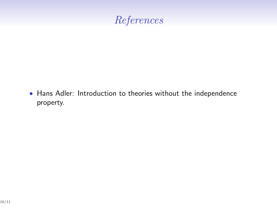## *References*

*•* Hans Adler: Introduction to theories without the independence property.